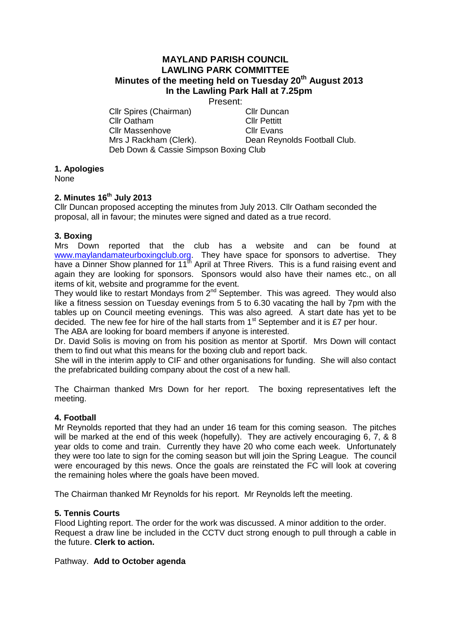# **MAYLAND PARISH COUNCIL LAWLING PARK COMMITTEE Minutes of the meeting held on Tuesday 20th August 2013 In the Lawling Park Hall at 7.25pm**

Present:

Cllr Spires (Chairman) Cllr Duncan Cllr Oatham Cllr Pettitt Cllr Massenhove Cllr Evans Mrs J Rackham (Clerk). Dean Reynolds Football Club. Deb Down & Cassie Simpson Boxing Club

## **1. Apologies**

None

## **2. Minutes 16th July 2013**

Cllr Duncan proposed accepting the minutes from July 2013. Cllr Oatham seconded the proposal, all in favour; the minutes were signed and dated as a true record.

## **3. Boxing**

Mrs Down reported that the club has a website and can be found at [www.maylandamateurboxingclub.org.](http://www.maylandamateurboxingclub.org/) They have space for sponsors to advertise. They have a Dinner Show planned for 11<sup>th</sup> April at Three Rivers. This is a fund raising event and again they are looking for sponsors. Sponsors would also have their names etc., on all items of kit, website and programme for the event.

They would like to restart Mondays from 2<sup>nd</sup> September. This was agreed. They would also like a fitness session on Tuesday evenings from 5 to 6.30 vacating the hall by 7pm with the tables up on Council meeting evenings. This was also agreed. A start date has yet to be decided. The new fee for hire of the hall starts from  $1<sup>st</sup>$  September and it is £7 per hour. The ABA are looking for board members if anyone is interested.

Dr. David Solis is moving on from his position as mentor at Sportif. Mrs Down will contact them to find out what this means for the boxing club and report back.

She will in the interim apply to CIF and other organisations for funding. She will also contact the prefabricated building company about the cost of a new hall.

The Chairman thanked Mrs Down for her report. The boxing representatives left the meeting.

#### **4. Football**

Mr Reynolds reported that they had an under 16 team for this coming season. The pitches will be marked at the end of this week (hopefully). They are actively encouraging 6, 7, & 8 year olds to come and train. Currently they have 20 who come each week. Unfortunately they were too late to sign for the coming season but will join the Spring League. The council were encouraged by this news. Once the goals are reinstated the FC will look at covering the remaining holes where the goals have been moved.

The Chairman thanked Mr Reynolds for his report. Mr Reynolds left the meeting.

#### **5. Tennis Courts**

Flood Lighting report. The order for the work was discussed. A minor addition to the order. Request a draw line be included in the CCTV duct strong enough to pull through a cable in the future. **Clerk to action.**

#### Pathway. **Add to October agenda**